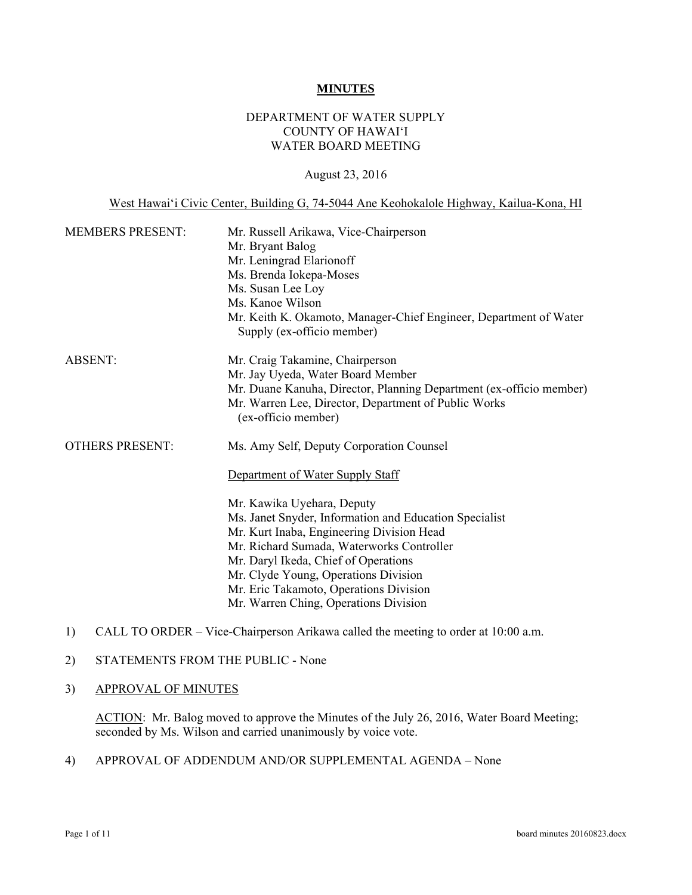#### **MINUTES**

### DEPARTMENT OF WATER SUPPLY COUNTY OF HAWAI'I WATER BOARD MEETING

#### August 23, 2016

West Hawai'i Civic Center, Building G, 74-5044 Ane Keohokalole Highway, Kailua-Kona, HI

| <b>MEMBERS PRESENT:</b> | Mr. Russell Arikawa, Vice-Chairperson<br>Mr. Bryant Balog<br>Mr. Leningrad Elarionoff<br>Ms. Brenda Iokepa-Moses<br>Ms. Susan Lee Loy<br>Ms. Kanoe Wilson<br>Mr. Keith K. Okamoto, Manager-Chief Engineer, Department of Water<br>Supply (ex-officio member)                                                                                                                                                                      |
|-------------------------|-----------------------------------------------------------------------------------------------------------------------------------------------------------------------------------------------------------------------------------------------------------------------------------------------------------------------------------------------------------------------------------------------------------------------------------|
| <b>ABSENT:</b>          | Mr. Craig Takamine, Chairperson<br>Mr. Jay Uyeda, Water Board Member<br>Mr. Duane Kanuha, Director, Planning Department (ex-officio member)<br>Mr. Warren Lee, Director, Department of Public Works<br>(ex-officio member)                                                                                                                                                                                                        |
| <b>OTHERS PRESENT:</b>  | Ms. Amy Self, Deputy Corporation Counsel<br>Department of Water Supply Staff<br>Mr. Kawika Uyehara, Deputy<br>Ms. Janet Snyder, Information and Education Specialist<br>Mr. Kurt Inaba, Engineering Division Head<br>Mr. Richard Sumada, Waterworks Controller<br>Mr. Daryl Ikeda, Chief of Operations<br>Mr. Clyde Young, Operations Division<br>Mr. Eric Takamoto, Operations Division<br>Mr. Warren Ching, Operations Division |

1) CALL TO ORDER – Vice-Chairperson Arikawa called the meeting to order at 10:00 a.m.

## 2) STATEMENTS FROM THE PUBLIC - None

#### 3) APPROVAL OF MINUTES

ACTION: Mr. Balog moved to approve the Minutes of the July 26, 2016, Water Board Meeting; seconded by Ms. Wilson and carried unanimously by voice vote.

4) APPROVAL OF ADDENDUM AND/OR SUPPLEMENTAL AGENDA – None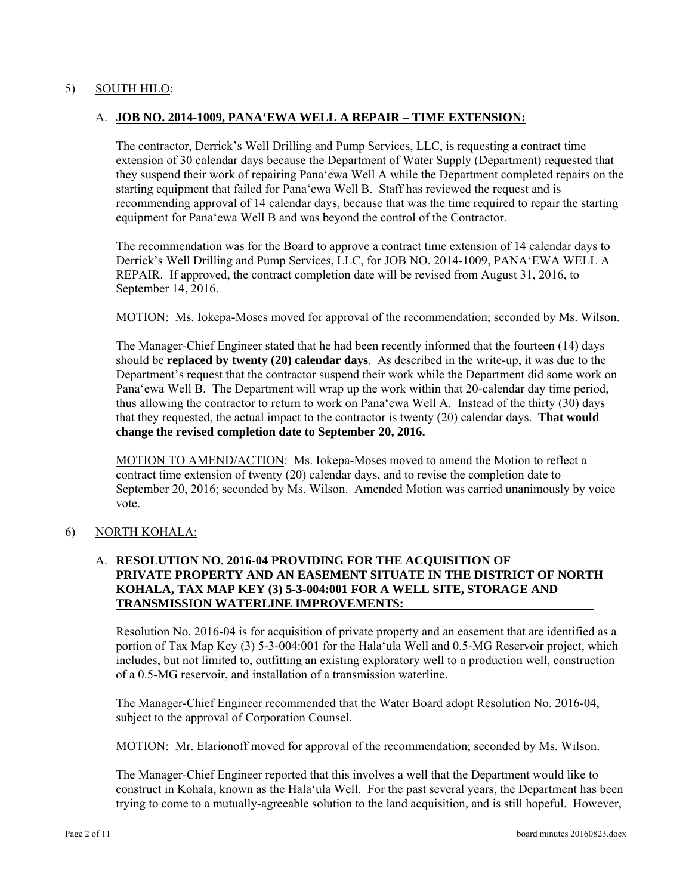### 5) SOUTH HILO:

### A. **JOB NO. 2014-1009, PANA'EWA WELL A REPAIR – TIME EXTENSION:**

The contractor, Derrick's Well Drilling and Pump Services, LLC, is requesting a contract time extension of 30 calendar days because the Department of Water Supply (Department) requested that they suspend their work of repairing Pana'ewa Well A while the Department completed repairs on the starting equipment that failed for Pana'ewa Well B. Staff has reviewed the request and is recommending approval of 14 calendar days, because that was the time required to repair the starting equipment for Pana'ewa Well B and was beyond the control of the Contractor.

The recommendation was for the Board to approve a contract time extension of 14 calendar days to Derrick's Well Drilling and Pump Services, LLC, for JOB NO. 2014-1009, PANA'EWA WELL A REPAIR. If approved, the contract completion date will be revised from August 31, 2016, to September 14, 2016.

MOTION: Ms. Iokepa-Moses moved for approval of the recommendation; seconded by Ms. Wilson.

The Manager-Chief Engineer stated that he had been recently informed that the fourteen (14) days should be **replaced by twenty (20) calendar days**. As described in the write-up, it was due to the Department's request that the contractor suspend their work while the Department did some work on Pana'ewa Well B. The Department will wrap up the work within that 20-calendar day time period, thus allowing the contractor to return to work on Pana'ewa Well A. Instead of the thirty (30) days that they requested, the actual impact to the contractor is twenty (20) calendar days. **That would change the revised completion date to September 20, 2016.** 

MOTION TO AMEND/ACTION: Ms. Iokepa-Moses moved to amend the Motion to reflect a contract time extension of twenty (20) calendar days, and to revise the completion date to September 20, 2016; seconded by Ms. Wilson. Amended Motion was carried unanimously by voice vote.

#### 6) NORTH KOHALA:

#### A. **RESOLUTION NO. 2016-04 PROVIDING FOR THE ACQUISITION OF PRIVATE PROPERTY AND AN EASEMENT SITUATE IN THE DISTRICT OF NORTH KOHALA, TAX MAP KEY (3) 5-3-004:001 FOR A WELL SITE, STORAGE AND TRANSMISSION WATERLINE IMPROVEMENTS:**

Resolution No. 2016-04 is for acquisition of private property and an easement that are identified as a portion of Tax Map Key (3) 5-3-004:001 for the Hala'ula Well and 0.5-MG Reservoir project, which includes, but not limited to, outfitting an existing exploratory well to a production well, construction of a 0.5-MG reservoir, and installation of a transmission waterline.

The Manager-Chief Engineer recommended that the Water Board adopt Resolution No. 2016-04, subject to the approval of Corporation Counsel.

MOTION: Mr. Elarionoff moved for approval of the recommendation; seconded by Ms. Wilson.

The Manager-Chief Engineer reported that this involves a well that the Department would like to construct in Kohala, known as the Hala'ula Well. For the past several years, the Department has been trying to come to a mutually-agreeable solution to the land acquisition, and is still hopeful. However,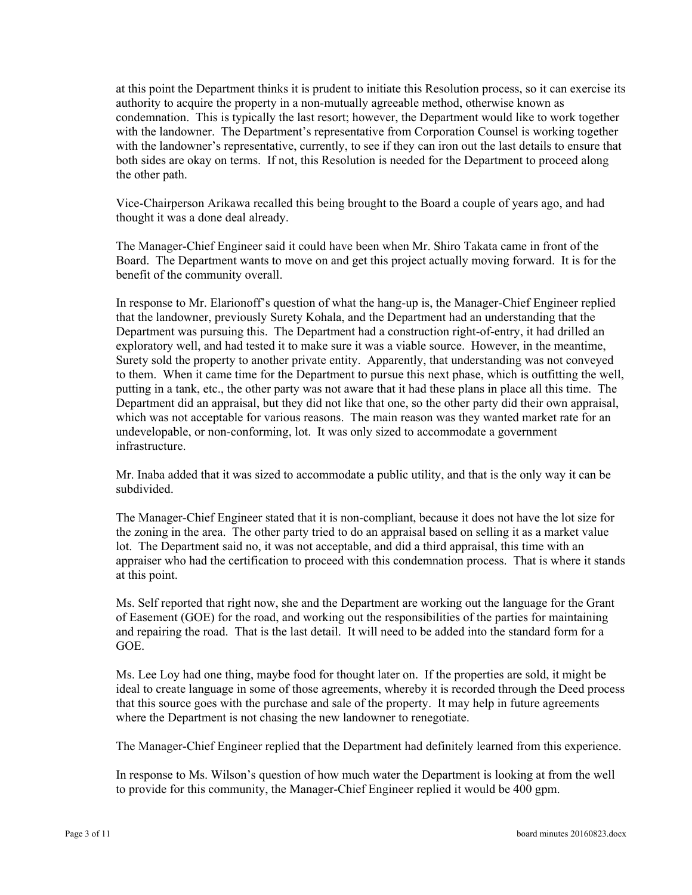at this point the Department thinks it is prudent to initiate this Resolution process, so it can exercise its authority to acquire the property in a non-mutually agreeable method, otherwise known as condemnation. This is typically the last resort; however, the Department would like to work together with the landowner. The Department's representative from Corporation Counsel is working together with the landowner's representative, currently, to see if they can iron out the last details to ensure that both sides are okay on terms. If not, this Resolution is needed for the Department to proceed along the other path.

Vice-Chairperson Arikawa recalled this being brought to the Board a couple of years ago, and had thought it was a done deal already.

The Manager-Chief Engineer said it could have been when Mr. Shiro Takata came in front of the Board. The Department wants to move on and get this project actually moving forward. It is for the benefit of the community overall.

In response to Mr. Elarionoff's question of what the hang-up is, the Manager-Chief Engineer replied that the landowner, previously Surety Kohala, and the Department had an understanding that the Department was pursuing this. The Department had a construction right-of-entry, it had drilled an exploratory well, and had tested it to make sure it was a viable source. However, in the meantime, Surety sold the property to another private entity. Apparently, that understanding was not conveyed to them. When it came time for the Department to pursue this next phase, which is outfitting the well, putting in a tank, etc., the other party was not aware that it had these plans in place all this time. The Department did an appraisal, but they did not like that one, so the other party did their own appraisal, which was not acceptable for various reasons. The main reason was they wanted market rate for an undevelopable, or non-conforming, lot. It was only sized to accommodate a government infrastructure.

Mr. Inaba added that it was sized to accommodate a public utility, and that is the only way it can be subdivided.

The Manager-Chief Engineer stated that it is non-compliant, because it does not have the lot size for the zoning in the area. The other party tried to do an appraisal based on selling it as a market value lot. The Department said no, it was not acceptable, and did a third appraisal, this time with an appraiser who had the certification to proceed with this condemnation process. That is where it stands at this point.

Ms. Self reported that right now, she and the Department are working out the language for the Grant of Easement (GOE) for the road, and working out the responsibilities of the parties for maintaining and repairing the road. That is the last detail. It will need to be added into the standard form for a GOE.

Ms. Lee Loy had one thing, maybe food for thought later on. If the properties are sold, it might be ideal to create language in some of those agreements, whereby it is recorded through the Deed process that this source goes with the purchase and sale of the property. It may help in future agreements where the Department is not chasing the new landowner to renegotiate.

The Manager-Chief Engineer replied that the Department had definitely learned from this experience.

In response to Ms. Wilson's question of how much water the Department is looking at from the well to provide for this community, the Manager-Chief Engineer replied it would be 400 gpm.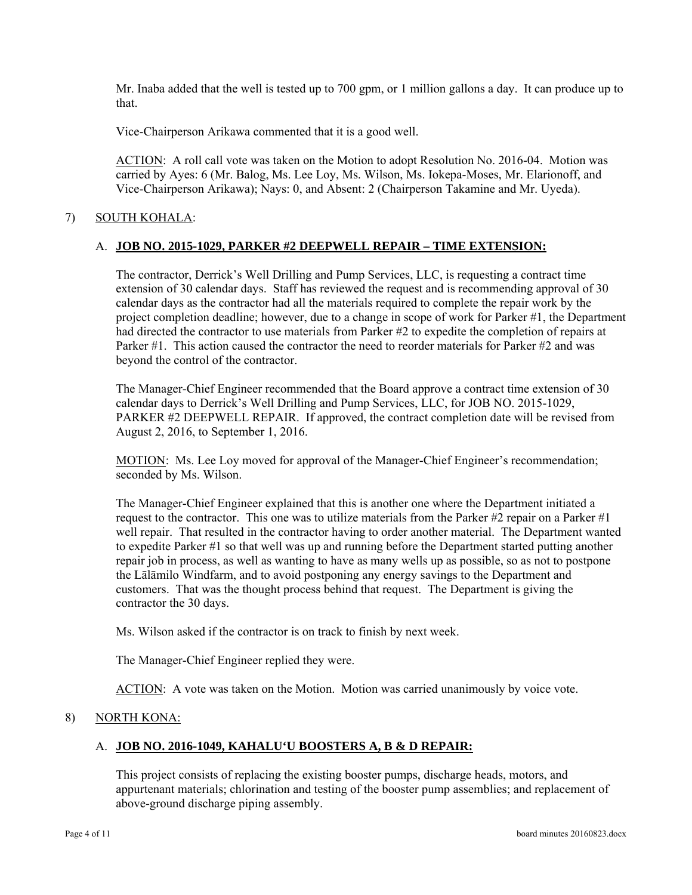Mr. Inaba added that the well is tested up to 700 gpm, or 1 million gallons a day. It can produce up to that.

Vice-Chairperson Arikawa commented that it is a good well.

ACTION: A roll call vote was taken on the Motion to adopt Resolution No. 2016-04. Motion was carried by Ayes: 6 (Mr. Balog, Ms. Lee Loy, Ms. Wilson, Ms. Iokepa-Moses, Mr. Elarionoff, and Vice-Chairperson Arikawa); Nays: 0, and Absent: 2 (Chairperson Takamine and Mr. Uyeda).

# 7) SOUTH KOHALA:

## A. **JOB NO. 2015-1029, PARKER #2 DEEPWELL REPAIR – TIME EXTENSION:**

The contractor, Derrick's Well Drilling and Pump Services, LLC, is requesting a contract time extension of 30 calendar days. Staff has reviewed the request and is recommending approval of 30 calendar days as the contractor had all the materials required to complete the repair work by the project completion deadline; however, due to a change in scope of work for Parker #1, the Department had directed the contractor to use materials from Parker #2 to expedite the completion of repairs at Parker #1. This action caused the contractor the need to reorder materials for Parker #2 and was beyond the control of the contractor.

The Manager-Chief Engineer recommended that the Board approve a contract time extension of 30 calendar days to Derrick's Well Drilling and Pump Services, LLC, for JOB NO. 2015-1029, PARKER #2 DEEPWELL REPAIR. If approved, the contract completion date will be revised from August 2, 2016, to September 1, 2016.

 seconded by Ms. Wilson. MOTION: Ms. Lee Loy moved for approval of the Manager-Chief Engineer's recommendation;

The Manager-Chief Engineer explained that this is another one where the Department initiated a request to the contractor. This one was to utilize materials from the Parker  $\#2$  repair on a Parker  $\#1$ well repair. That resulted in the contractor having to order another material. The Department wanted to expedite Parker #1 so that well was up and running before the Department started putting another repair job in process, as well as wanting to have as many wells up as possible, so as not to postpone the Lālāmilo Windfarm, and to avoid postponing any energy savings to the Department and customers. That was the thought process behind that request. The Department is giving the contractor the 30 days.

Ms. Wilson asked if the contractor is on track to finish by next week.

The Manager-Chief Engineer replied they were.

ACTION: A vote was taken on the Motion. Motion was carried unanimously by voice vote.

#### 8) NORTH KONA:

# A. **JOB NO. 2016-1049, KAHALU'U BOOSTERS A, B & D REPAIR:**

This project consists of replacing the existing booster pumps, discharge heads, motors, and appurtenant materials; chlorination and testing of the booster pump assemblies; and replacement of above-ground discharge piping assembly.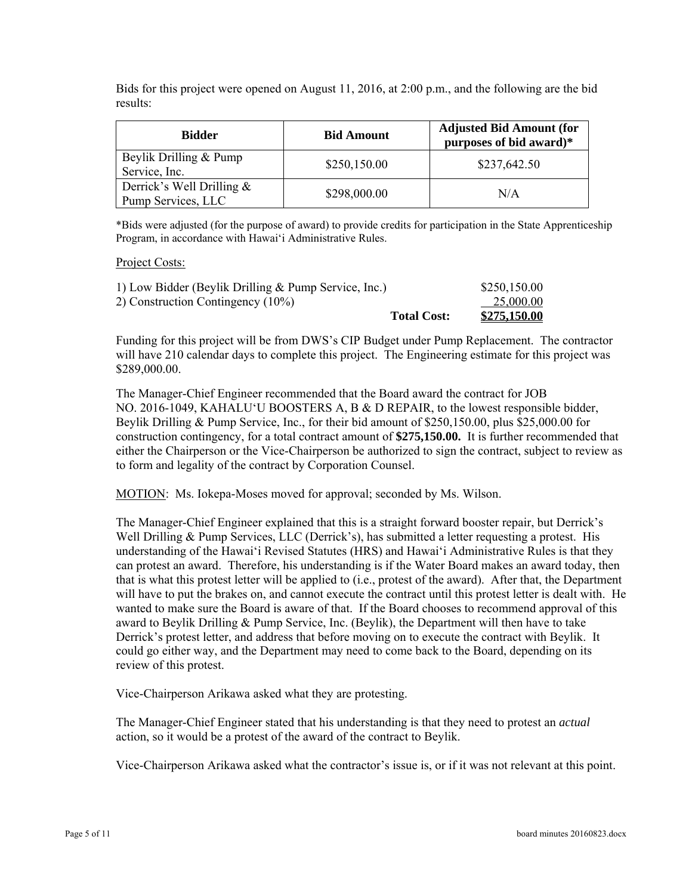Bids for this project were opened on August 11, 2016, at 2:00 p.m., and the following are the bid results:

| Bidder                                             | <b>Adjusted Bid Amount (for</b><br><b>Bid Amount</b><br>purposes of bid award)* |              |
|----------------------------------------------------|---------------------------------------------------------------------------------|--------------|
| Beylik Drilling & Pump<br>Service, Inc.            | \$250,150.00                                                                    | \$237,642.50 |
| Derrick's Well Drilling $\&$<br>Pump Services, LLC | \$298,000.00                                                                    | N/A          |

\*Bids were adjusted (for the purpose of award) to provide credits for participation in the State Apprenticeship Program, in accordance with Hawaiʻi Administrative Rules.

#### Project Costs:

| 1) Low Bidder (Beylik Drilling & Pump Service, Inc.) |                    | \$250,150.00 |
|------------------------------------------------------|--------------------|--------------|
| 2) Construction Contingency (10%)                    |                    | 25,000.00    |
|                                                      | <b>Total Cost:</b> | \$275,150.00 |

Funding for this project will be from DWS's CIP Budget under Pump Replacement. The contractor will have 210 calendar days to complete this project. The Engineering estimate for this project was \$289,000.00.

The Manager-Chief Engineer recommended that the Board award the contract for JOB NO. 2016-1049, KAHALUʻU BOOSTERS A, B & D REPAIR, to the lowest responsible bidder, Beylik Drilling & Pump Service, Inc., for their bid amount of \$250,150.00, plus \$25,000.00 for construction contingency, for a total contract amount of **\$275,150.00.** It is further recommended that either the Chairperson or the Vice-Chairperson be authorized to sign the contract, subject to review as to form and legality of the contract by Corporation Counsel.

MOTION: Ms. Iokepa-Moses moved for approval; seconded by Ms. Wilson.

The Manager-Chief Engineer explained that this is a straight forward booster repair, but Derrick's Well Drilling & Pump Services, LLC (Derrick's), has submitted a letter requesting a protest. His understanding of the Hawai'i Revised Statutes (HRS) and Hawai'i Administrative Rules is that they can protest an award. Therefore, his understanding is if the Water Board makes an award today, then that is what this protest letter will be applied to (i.e., protest of the award). After that, the Department will have to put the brakes on, and cannot execute the contract until this protest letter is dealt with. He wanted to make sure the Board is aware of that. If the Board chooses to recommend approval of this award to Beylik Drilling & Pump Service, Inc. (Beylik), the Department will then have to take Derrick's protest letter, and address that before moving on to execute the contract with Beylik. It could go either way, and the Department may need to come back to the Board, depending on its review of this protest.

Vice-Chairperson Arikawa asked what they are protesting.

The Manager-Chief Engineer stated that his understanding is that they need to protest an *actual* action, so it would be a protest of the award of the contract to Beylik.

Vice-Chairperson Arikawa asked what the contractor's issue is, or if it was not relevant at this point.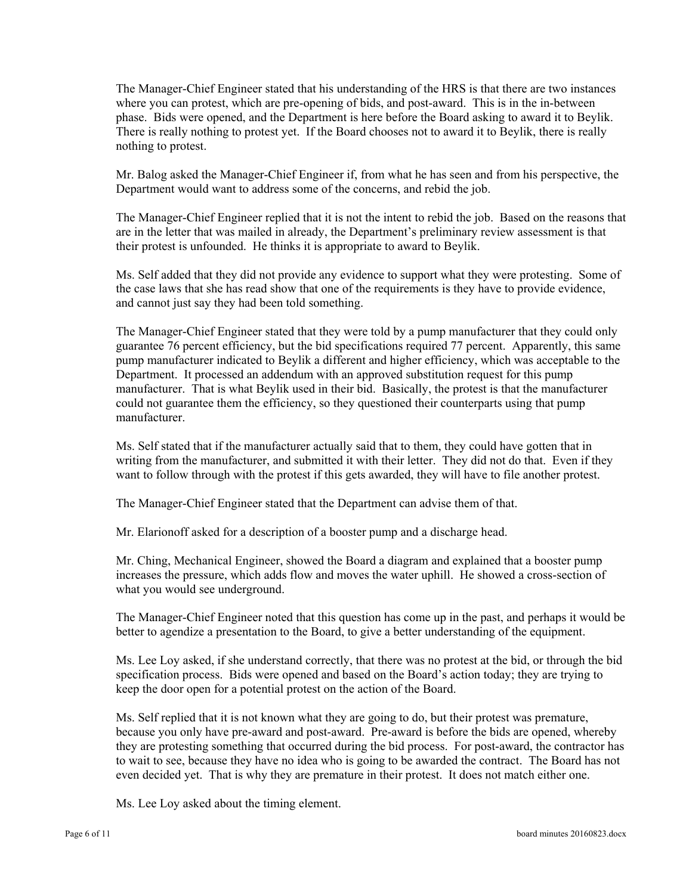The Manager-Chief Engineer stated that his understanding of the HRS is that there are two instances where you can protest, which are pre-opening of bids, and post-award. This is in the in-between phase. Bids were opened, and the Department is here before the Board asking to award it to Beylik. There is really nothing to protest yet. If the Board chooses not to award it to Beylik, there is really nothing to protest.

Mr. Balog asked the Manager-Chief Engineer if, from what he has seen and from his perspective, the Department would want to address some of the concerns, and rebid the job.

The Manager-Chief Engineer replied that it is not the intent to rebid the job. Based on the reasons that are in the letter that was mailed in already, the Department's preliminary review assessment is that their protest is unfounded. He thinks it is appropriate to award to Beylik.

Ms. Self added that they did not provide any evidence to support what they were protesting. Some of the case laws that she has read show that one of the requirements is they have to provide evidence, and cannot just say they had been told something.

The Manager-Chief Engineer stated that they were told by a pump manufacturer that they could only guarantee 76 percent efficiency, but the bid specifications required 77 percent. Apparently, this same pump manufacturer indicated to Beylik a different and higher efficiency, which was acceptable to the Department. It processed an addendum with an approved substitution request for this pump manufacturer. That is what Beylik used in their bid. Basically, the protest is that the manufacturer could not guarantee them the efficiency, so they questioned their counterparts using that pump manufacturer.

Ms. Self stated that if the manufacturer actually said that to them, they could have gotten that in writing from the manufacturer, and submitted it with their letter. They did not do that. Even if they want to follow through with the protest if this gets awarded, they will have to file another protest.

The Manager-Chief Engineer stated that the Department can advise them of that.

Mr. Elarionoff asked for a description of a booster pump and a discharge head.

Mr. Ching, Mechanical Engineer, showed the Board a diagram and explained that a booster pump increases the pressure, which adds flow and moves the water uphill. He showed a cross-section of what you would see underground.

The Manager-Chief Engineer noted that this question has come up in the past, and perhaps it would be better to agendize a presentation to the Board, to give a better understanding of the equipment.

Ms. Lee Loy asked, if she understand correctly, that there was no protest at the bid, or through the bid specification process. Bids were opened and based on the Board's action today; they are trying to keep the door open for a potential protest on the action of the Board.

Ms. Self replied that it is not known what they are going to do, but their protest was premature, because you only have pre-award and post-award. Pre-award is before the bids are opened, whereby they are protesting something that occurred during the bid process. For post-award, the contractor has to wait to see, because they have no idea who is going to be awarded the contract. The Board has not even decided yet. That is why they are premature in their protest. It does not match either one.

Ms. Lee Loy asked about the timing element.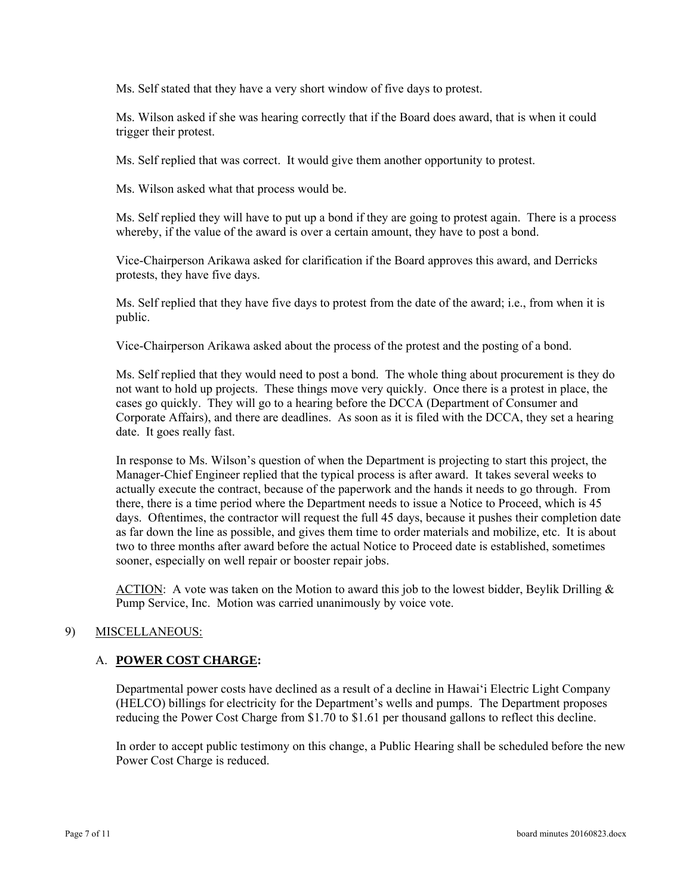Ms. Self stated that they have a very short window of five days to protest.

Ms. Wilson asked if she was hearing correctly that if the Board does award, that is when it could trigger their protest.

Ms. Self replied that was correct. It would give them another opportunity to protest.

Ms. Wilson asked what that process would be.

Ms. Self replied they will have to put up a bond if they are going to protest again. There is a process whereby, if the value of the award is over a certain amount, they have to post a bond.

Vice-Chairperson Arikawa asked for clarification if the Board approves this award, and Derricks protests, they have five days.

Ms. Self replied that they have five days to protest from the date of the award; i.e., from when it is public.

Vice-Chairperson Arikawa asked about the process of the protest and the posting of a bond.

Ms. Self replied that they would need to post a bond. The whole thing about procurement is they do not want to hold up projects. These things move very quickly. Once there is a protest in place, the cases go quickly. They will go to a hearing before the DCCA (Department of Consumer and Corporate Affairs), and there are deadlines. As soon as it is filed with the DCCA, they set a hearing date. It goes really fast.

In response to Ms. Wilson's question of when the Department is projecting to start this project, the Manager-Chief Engineer replied that the typical process is after award. It takes several weeks to actually execute the contract, because of the paperwork and the hands it needs to go through. From there, there is a time period where the Department needs to issue a Notice to Proceed, which is 45 days. Oftentimes, the contractor will request the full 45 days, because it pushes their completion date as far down the line as possible, and gives them time to order materials and mobilize, etc. It is about two to three months after award before the actual Notice to Proceed date is established, sometimes sooner, especially on well repair or booster repair jobs.

ACTION: A vote was taken on the Motion to award this job to the lowest bidder, Beylik Drilling  $\&$ Pump Service, Inc. Motion was carried unanimously by voice vote.

#### 9) MISCELLANEOUS:

#### A. **POWER COST CHARGE:**

Departmental power costs have declined as a result of a decline in Hawai'i Electric Light Company (HELCO) billings for electricity for the Department's wells and pumps. The Department proposes reducing the Power Cost Charge from \$1.70 to \$1.61 per thousand gallons to reflect this decline.

In order to accept public testimony on this change, a Public Hearing shall be scheduled before the new Power Cost Charge is reduced.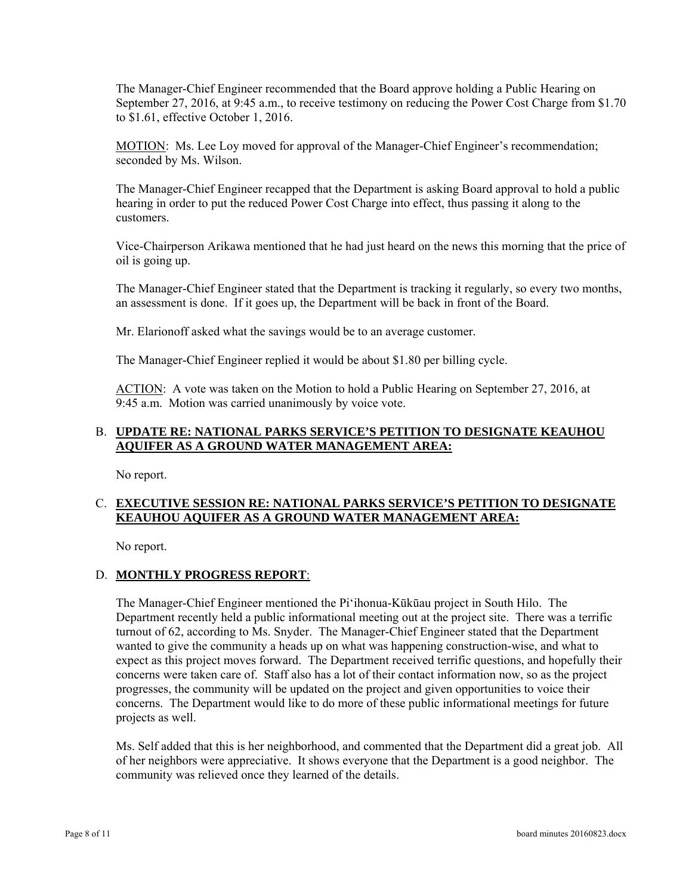The Manager-Chief Engineer recommended that the Board approve holding a Public Hearing on September 27, 2016, at 9:45 a.m., to receive testimony on reducing the Power Cost Charge from \$1.70 to \$1.61, effective October 1, 2016.

 seconded by Ms. Wilson. MOTION: Ms. Lee Loy moved for approval of the Manager-Chief Engineer's recommendation;

The Manager-Chief Engineer recapped that the Department is asking Board approval to hold a public hearing in order to put the reduced Power Cost Charge into effect, thus passing it along to the customers.

Vice-Chairperson Arikawa mentioned that he had just heard on the news this morning that the price of oil is going up.

The Manager-Chief Engineer stated that the Department is tracking it regularly, so every two months, an assessment is done. If it goes up, the Department will be back in front of the Board.

Mr. Elarionoff asked what the savings would be to an average customer.

The Manager-Chief Engineer replied it would be about \$1.80 per billing cycle.

 9:45 a.m. Motion was carried unanimously by voice vote. ACTION: A vote was taken on the Motion to hold a Public Hearing on September 27, 2016, at

### B. **UPDATE RE: NATIONAL PARKS SERVICE'S PETITION TO DESIGNATE KEAUHOU AQUIFER AS A GROUND WATER MANAGEMENT AREA:**

No report.

# C. **EXECUTIVE SESSION RE: NATIONAL PARKS SERVICE'S PETITION TO DESIGNATE KEAUHOU AQUIFER AS A GROUND WATER MANAGEMENT AREA:**

No report.

# D. **MONTHLY PROGRESS REPORT**:

The Manager-Chief Engineer mentioned the Pi'ihonua-Kūkūau project in South Hilo. The Department recently held a public informational meeting out at the project site. There was a terrific turnout of 62, according to Ms. Snyder. The Manager-Chief Engineer stated that the Department wanted to give the community a heads up on what was happening construction-wise, and what to expect as this project moves forward. The Department received terrific questions, and hopefully their concerns were taken care of. Staff also has a lot of their contact information now, so as the project progresses, the community will be updated on the project and given opportunities to voice their concerns. The Department would like to do more of these public informational meetings for future projects as well.

Ms. Self added that this is her neighborhood, and commented that the Department did a great job. All of her neighbors were appreciative. It shows everyone that the Department is a good neighbor. The community was relieved once they learned of the details.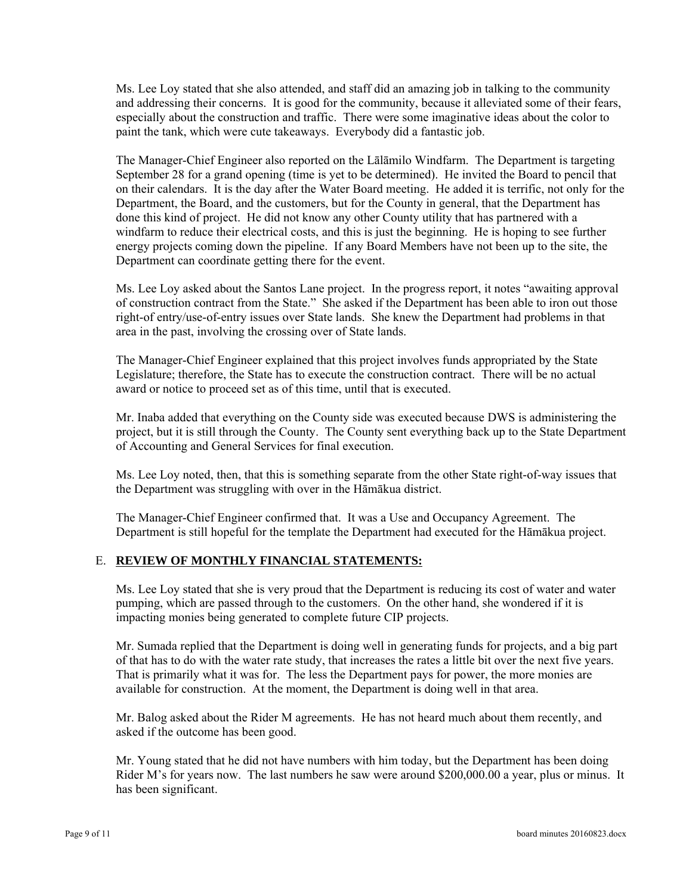Ms. Lee Loy stated that she also attended, and staff did an amazing job in talking to the community and addressing their concerns. It is good for the community, because it alleviated some of their fears, especially about the construction and traffic. There were some imaginative ideas about the color to paint the tank, which were cute takeaways. Everybody did a fantastic job.

The Manager-Chief Engineer also reported on the Lālāmilo Windfarm. The Department is targeting September 28 for a grand opening (time is yet to be determined). He invited the Board to pencil that on their calendars. It is the day after the Water Board meeting. He added it is terrific, not only for the Department, the Board, and the customers, but for the County in general, that the Department has done this kind of project. He did not know any other County utility that has partnered with a windfarm to reduce their electrical costs, and this is just the beginning. He is hoping to see further energy projects coming down the pipeline. If any Board Members have not been up to the site, the Department can coordinate getting there for the event.

Ms. Lee Loy asked about the Santos Lane project. In the progress report, it notes "awaiting approval of construction contract from the State." She asked if the Department has been able to iron out those right-of entry/use-of-entry issues over State lands. She knew the Department had problems in that area in the past, involving the crossing over of State lands.

The Manager-Chief Engineer explained that this project involves funds appropriated by the State Legislature; therefore, the State has to execute the construction contract. There will be no actual award or notice to proceed set as of this time, until that is executed.

Mr. Inaba added that everything on the County side was executed because DWS is administering the project, but it is still through the County. The County sent everything back up to the State Department of Accounting and General Services for final execution.

Ms. Lee Loy noted, then, that this is something separate from the other State right-of-way issues that the Department was struggling with over in the Hāmākua district.

The Manager-Chief Engineer confirmed that. It was a Use and Occupancy Agreement. The Department is still hopeful for the template the Department had executed for the Hāmākua project.

#### E. **REVIEW OF MONTHLY FINANCIAL STATEMENTS:**

Ms. Lee Loy stated that she is very proud that the Department is reducing its cost of water and water pumping, which are passed through to the customers. On the other hand, she wondered if it is impacting monies being generated to complete future CIP projects.

Mr. Sumada replied that the Department is doing well in generating funds for projects, and a big part of that has to do with the water rate study, that increases the rates a little bit over the next five years. That is primarily what it was for. The less the Department pays for power, the more monies are available for construction. At the moment, the Department is doing well in that area.

Mr. Balog asked about the Rider M agreements. He has not heard much about them recently, and asked if the outcome has been good.

Mr. Young stated that he did not have numbers with him today, but the Department has been doing Rider M's for years now. The last numbers he saw were around \$200,000.00 a year, plus or minus. It has been significant.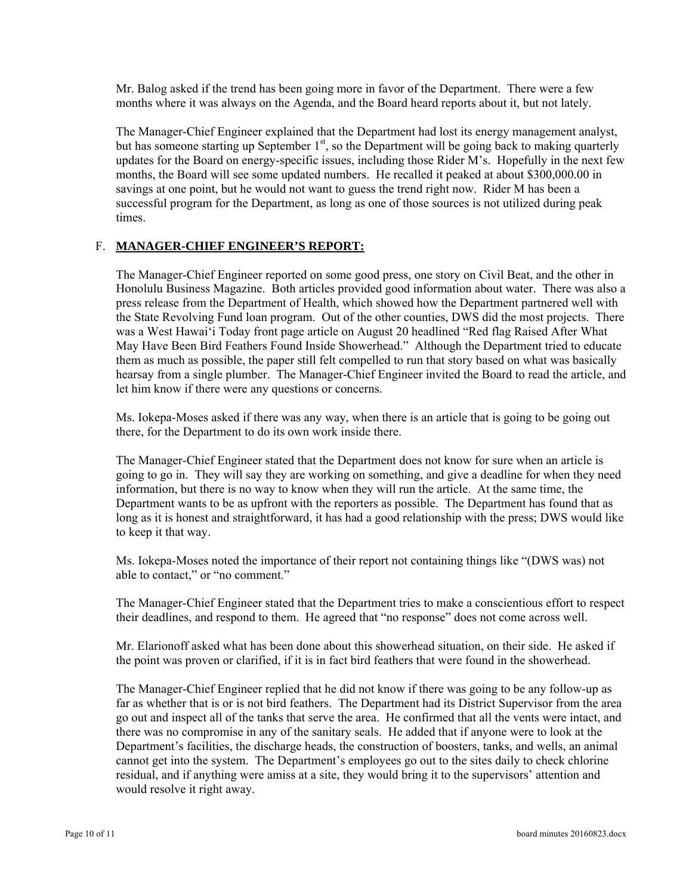Mr. Balog asked if the trend has been going more in favor of the Department. There were a few months where it was always on the Agenda, and the Board heard reports about it, but not lately.

The Manager-Chief Engineer explained that the Department had lost its energy management analyst, but has someone starting up September  $1<sup>st</sup>$ , so the Department will be going back to making quarterly updates for the Board on energy-specific issues, including those Rider M's. Hopefully in the next few months, the Board will see some updated numbers. He recalled it peaked at about \$300,000.00 in savings at one point, but he would not want to guess the trend right now. Rider M has been a successful program for the Department, as long as one of those sources is not utilized during peak times.

## F. **MANAGER-CHIEF ENGINEER'S REPORT:**

The Manager-Chief Engineer reported on some good press, one story on Civil Beat, and the other in Honolulu Business Magazine. Both articles provided good information about water. There was also a press release from the Department of Health, which showed how the Department partnered well with the State Revolving Fund loan program. Out of the other counties, DWS did the most projects. There was a West Hawai'i Today front page article on August 20 headlined "Red flag Raised After What May Have Been Bird Feathers Found Inside Showerhead." Although the Department tried to educate them as much as possible, the paper still felt compelled to run that story based on what was basically hearsay from a single plumber. The Manager-Chief Engineer invited the Board to read the article, and let him know if there were any questions or concerns.

Ms. Iokepa-Moses asked if there was any way, when there is an article that is going to be going out there, for the Department to do its own work inside there.

to keep it that way. The Manager-Chief Engineer stated that the Department does not know for sure when an article is going to go in. They will say they are working on something, and give a deadline for when they need information, but there is no way to know when they will run the article. At the same time, the Department wants to be as upfront with the reporters as possible. The Department has found that as long as it is honest and straightforward, it has had a good relationship with the press; DWS would like

Ms. Iokepa-Moses noted the importance of their report not containing things like "(DWS was) not able to contact," or "no comment."

The Manager-Chief Engineer stated that the Department tries to make a conscientious effort to respect their deadlines, and respond to them. He agreed that "no response" does not come across well.

Mr. Elarionoff asked what has been done about this showerhead situation, on their side. He asked if the point was proven or clarified, if it is in fact bird feathers that were found in the showerhead.

The Manager-Chief Engineer replied that he did not know if there was going to be any follow-up as far as whether that is or is not bird feathers. The Department had its District Supervisor from the area go out and inspect all of the tanks that serve the area. He confirmed that all the vents were intact, and there was no compromise in any of the sanitary seals. He added that if anyone were to look at the Department's facilities, the discharge heads, the construction of boosters, tanks, and wells, an animal cannot get into the system. The Department's employees go out to the sites daily to check chlorine residual, and if anything were amiss at a site, they would bring it to the supervisors' attention and would resolve it right away.